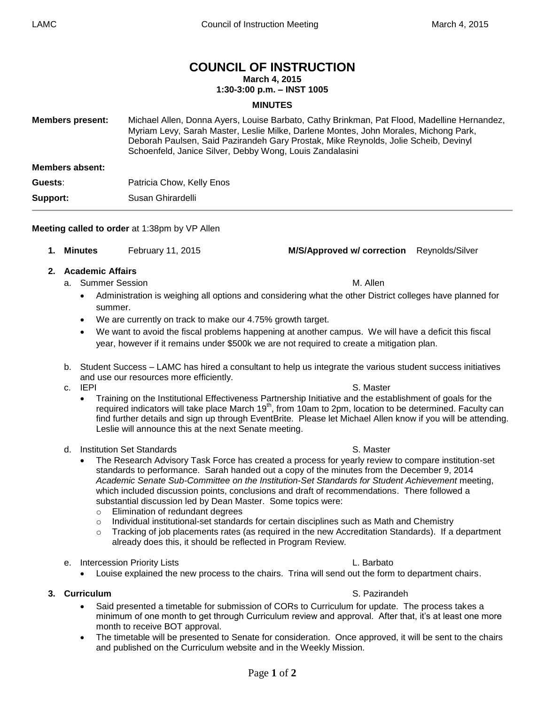# **COUNCIL OF INSTRUCTION**

**March 4, 2015**

### **1:30-3:00 p.m. – INST 1005**

### **MINUTES**

| <b>Members present:</b> | Michael Allen, Donna Ayers, Louise Barbato, Cathy Brinkman, Pat Flood, Madelline Hernandez,<br>Myriam Levy, Sarah Master, Leslie Milke, Darlene Montes, John Morales, Michong Park,<br>Deborah Paulsen, Said Pazirandeh Gary Prostak, Mike Reynolds, Jolie Scheib, Devinyl<br>Schoenfeld, Janice Silver, Debby Wong, Louis Zandalasini |
|-------------------------|----------------------------------------------------------------------------------------------------------------------------------------------------------------------------------------------------------------------------------------------------------------------------------------------------------------------------------------|
| Members absent:         |                                                                                                                                                                                                                                                                                                                                        |
| Guests:                 | Patricia Chow, Kelly Enos                                                                                                                                                                                                                                                                                                              |
| Support:                | Susan Ghirardelli                                                                                                                                                                                                                                                                                                                      |

### **Meeting called to order** at 1:38pm by VP Allen

- **1. Minutes** February 11, 2015 **M/S/Approved w/ correction** Reynolds/Silver
- **2. Academic Affairs**
	- a. Summer Session and Summer Session and Summer Session and Summer Session and Summer Session and Summer Session
		- Administration is weighing all options and considering what the other District colleges have planned for summer.
		- We are currently on track to make our 4.75% growth target.
		- We want to avoid the fiscal problems happening at another campus. We will have a deficit this fiscal year, however if it remains under \$500k we are not required to create a mitigation plan.
	- b. Student Success LAMC has hired a consultant to help us integrate the various student success initiatives and use our resources more efficiently.
	- - Training on the Institutional Effectiveness Partnership Initiative and the establishment of goals for the required indicators will take place March 19<sup>th</sup>, from 10am to 2pm, location to be determined. Faculty can find further details and sign up through EventBrite. Please let Michael Allen know if you will be attending. Leslie will announce this at the next Senate meeting.
	- d. Institution Set Standards S. Master
		- The Research Advisory Task Force has created a process for yearly review to compare institution-set standards to performance. Sarah handed out a copy of the minutes from the December 9, 2014 *Academic Senate Sub-Committee on the Institution-Set Standards for Student Achievement* meeting, which included discussion points, conclusions and draft of recommendations. There followed a substantial discussion led by Dean Master. Some topics were:
			- o Elimination of redundant degrees
			- $\circ$  Individual institutional-set standards for certain disciplines such as Math and Chemistry
			- $\circ$  Tracking of job placements rates (as required in the new Accreditation Standards). If a department already does this, it should be reflected in Program Review.
	- e. Intercession Priority Lists L. Barbato
		- Louise explained the new process to the chairs. Trina will send out the form to department chairs.

### **3. Curriculum** S. Pazirandeh

- Said presented a timetable for submission of CORs to Curriculum for update. The process takes a minimum of one month to get through Curriculum review and approval. After that, it's at least one more month to receive BOT approval.
- The timetable will be presented to Senate for consideration. Once approved, it will be sent to the chairs and published on the Curriculum website and in the Weekly Mission.

### c. IEPI S. Master

## Page **1** of **2**